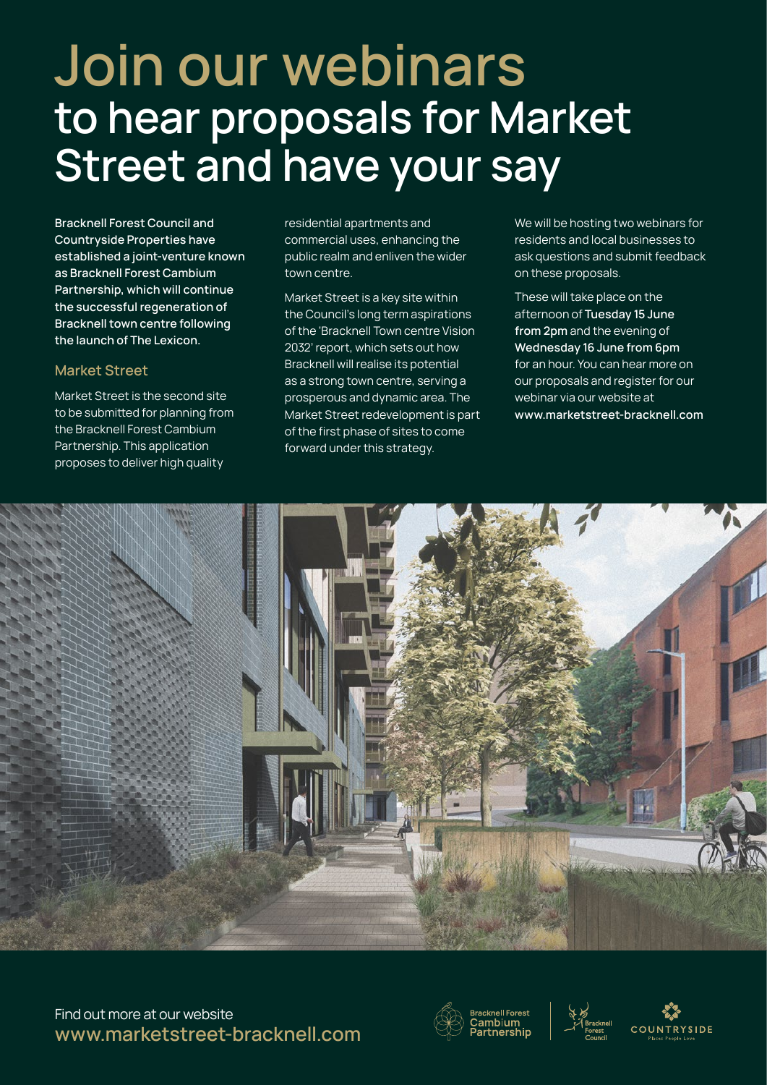## **Join our webinars to hear proposals for Market Street and have your say**

**Bracknell Forest Council and Countryside Properties have established a joint-venture known as Bracknell Forest Cambium Partnership, which will continue the successful regeneration of Bracknell town centre following the launch of The Lexicon.** 

## **Market Street**

Market Street is the second site to be submitted for planning from the Bracknell Forest Cambium Partnership. This application proposes to deliver high quality

residential apartments and commercial uses, enhancing the public realm and enliven the wider town centre.

Market Street is a key site within the Council's long term aspirations of the 'Bracknell Town centre Vision 2032' report, which sets out how Bracknell will realise its potential as a strong town centre, serving a prosperous and dynamic area. The Market Street redevelopment is part of the first phase of sites to come forward under this strategy.

We will be hosting two webinars for residents and local businesses to ask questions and submit feedback on these proposals.

These will take place on the afternoon of **Tuesday 15 June from 2pm** and the evening of **Wednesday 16 June from 6pm** for an hour. You can hear more on our proposals and register for our webinar via our website at **www.marketstreet-bracknell.com** 



Find out more at our website **www.marketstreet-bracknell.com**





 $SIDE$